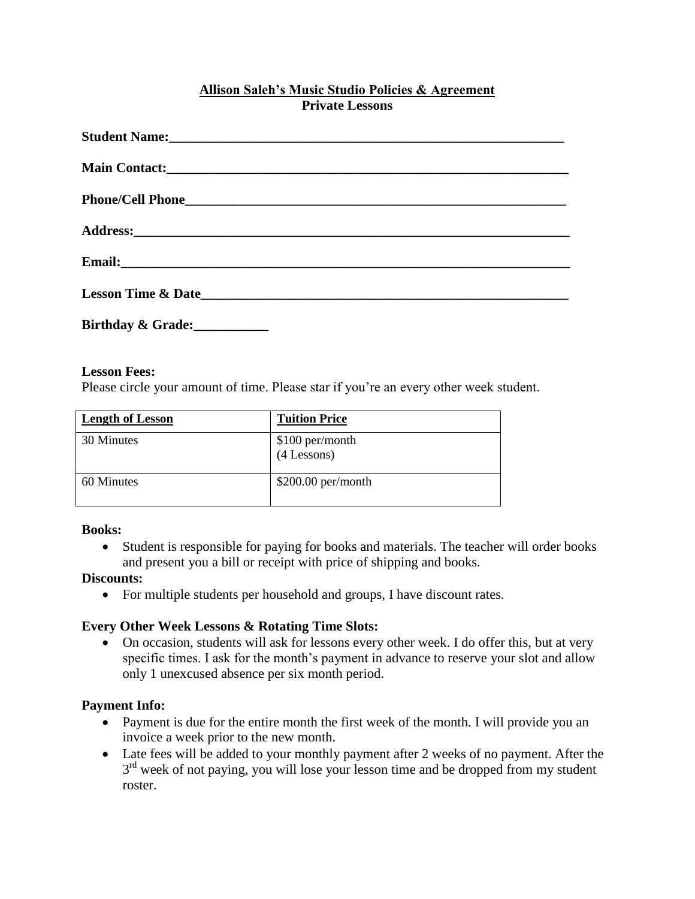### **Allison Saleh's Music Studio Policies & Agreement Private Lessons**

| Student Name: Name: |
|---------------------|
|                     |
|                     |
|                     |
|                     |
|                     |
| Birthday & Grade:   |

#### **Lesson Fees:**

Please circle your amount of time. Please star if you're an every other week student.

| <b>Length of Lesson</b> | <b>Tuition Price</b>             |
|-------------------------|----------------------------------|
| 30 Minutes              | \$100 per/month<br>$(4$ Lessons) |
| 60 Minutes              | $$200.00$ per/month              |

#### **Books:**

 Student is responsible for paying for books and materials. The teacher will order books and present you a bill or receipt with price of shipping and books.

#### **Discounts:**

For multiple students per household and groups, I have discount rates.

#### **Every Other Week Lessons & Rotating Time Slots:**

 On occasion, students will ask for lessons every other week. I do offer this, but at very specific times. I ask for the month's payment in advance to reserve your slot and allow only 1 unexcused absence per six month period.

#### **Payment Info:**

- Payment is due for the entire month the first week of the month. I will provide you an invoice a week prior to the new month.
- Late fees will be added to your monthly payment after 2 weeks of no payment. After the 3<sup>rd</sup> week of not paying, you will lose your lesson time and be dropped from my student roster.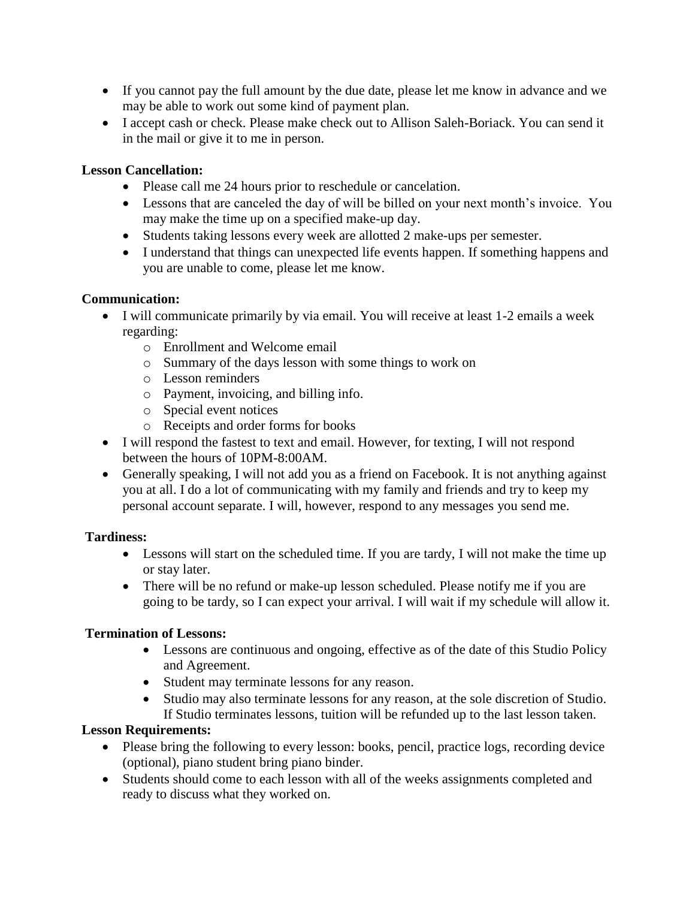- If you cannot pay the full amount by the due date, please let me know in advance and we may be able to work out some kind of payment plan.
- I accept cash or check. Please make check out to Allison Saleh-Boriack. You can send it in the mail or give it to me in person.

### **Lesson Cancellation:**

- Please call me 24 hours prior to reschedule or cancelation.
- Lessons that are canceled the day of will be billed on your next month's invoice. You may make the time up on a specified make-up day.
- Students taking lessons every week are allotted 2 make-ups per semester.
- I understand that things can unexpected life events happen. If something happens and you are unable to come, please let me know.

## **Communication:**

- I will communicate primarily by via email. You will receive at least 1-2 emails a week regarding:
	- o Enrollment and Welcome email
	- o Summary of the days lesson with some things to work on
	- o Lesson reminders
	- o Payment, invoicing, and billing info.
	- o Special event notices
	- o Receipts and order forms for books
- I will respond the fastest to text and email. However, for texting, I will not respond between the hours of 10PM-8:00AM.
- Generally speaking, I will not add you as a friend on Facebook. It is not anything against you at all. I do a lot of communicating with my family and friends and try to keep my personal account separate. I will, however, respond to any messages you send me.

# **Tardiness:**

- Lessons will start on the scheduled time. If you are tardy, I will not make the time up or stay later.
- There will be no refund or make-up lesson scheduled. Please notify me if you are going to be tardy, so I can expect your arrival. I will wait if my schedule will allow it.

# **Termination of Lessons:**

- Lessons are continuous and ongoing, effective as of the date of this Studio Policy and Agreement.
- Student may terminate lessons for any reason.
- Studio may also terminate lessons for any reason, at the sole discretion of Studio. If Studio terminates lessons, tuition will be refunded up to the last lesson taken.

#### **Lesson Requirements:**

- Please bring the following to every lesson: books, pencil, practice logs, recording device (optional), piano student bring piano binder.
- Students should come to each lesson with all of the weeks assignments completed and ready to discuss what they worked on.